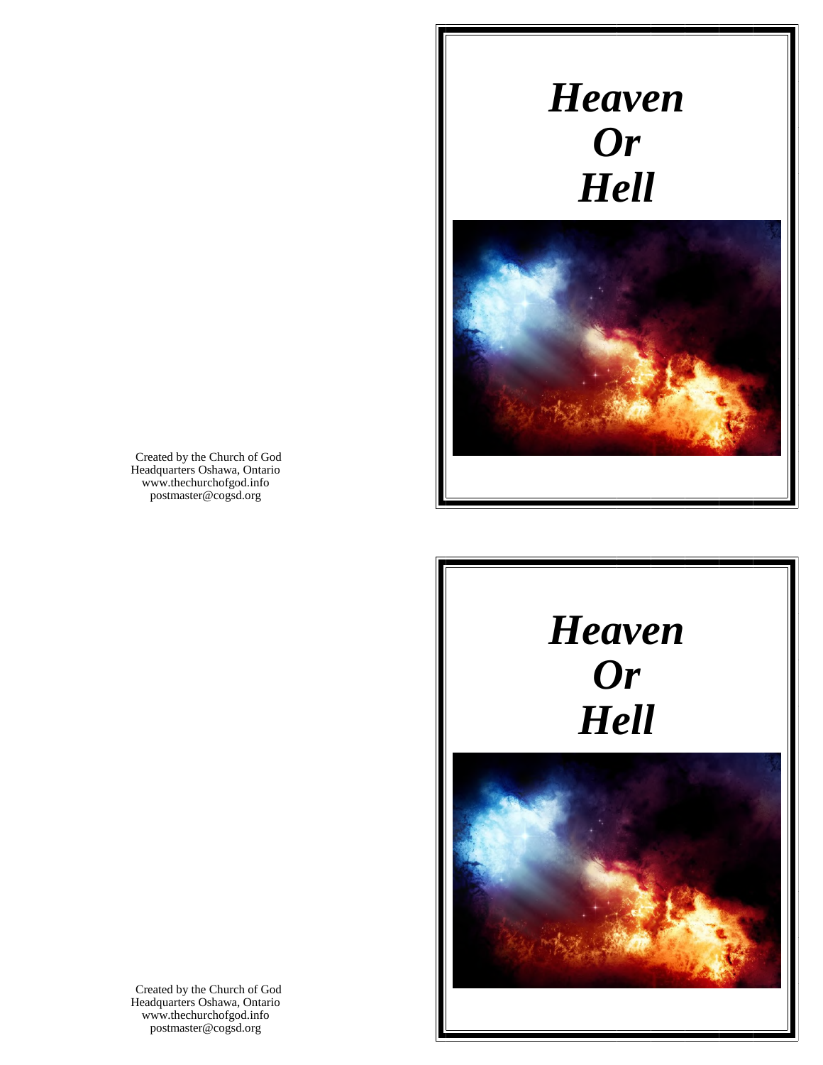# *Heaven Or Hell*



Created by the Church of God Headquarters Oshawa, Ontario www.thechurchofgod.info postmaster@cogsd.org





Created by the Church of God Headquarters Oshawa, Ontario www.thechurchofgod.info postmaster@cogsd.org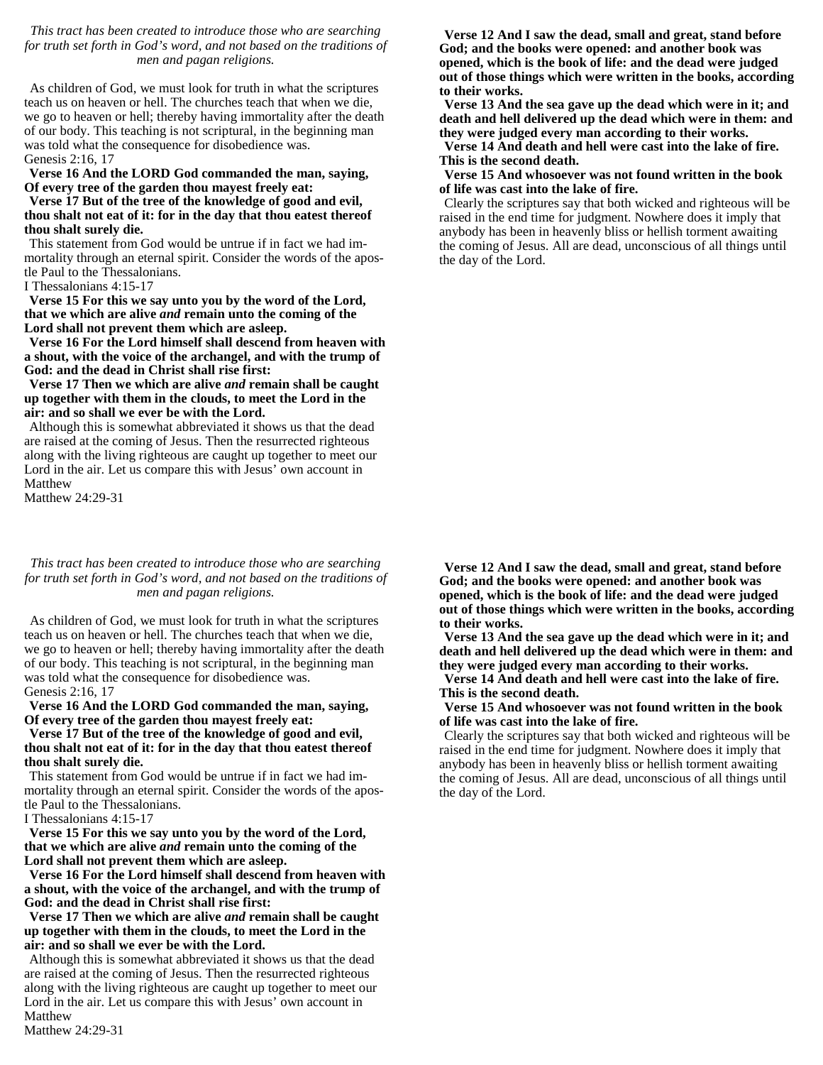*This tract has been created to introduce those who are searching for truth set forth in God's word, and not based on the traditions of men and pagan religions.*

As children of God, we must look for truth in what the scriptures teach us on heaven or hell. The churches teach that when we die, we go to heaven or hell; thereby having immortality after the death of our body. This teaching is not scriptural, in the beginning man was told what the consequence for disobedience was. Genesis 2:16, 17

**Verse 16 And the LORD God commanded the man, saying, Of every tree of the garden thou mayest freely eat:**

**Verse 17 But of the tree of the knowledge of good and evil, thou shalt not eat of it: for in the day that thou eatest thereof thou shalt surely die.**

This statement from God would be untrue if in fact we had immortality through an eternal spirit. Consider the words of the apostle Paul to the Thessalonians.

I Thessalonians 4:15-17

**Verse 15 For this we say unto you by the word of the Lord, that we which are alive** *and* **remain unto the coming of the Lord shall not prevent them which are asleep.**

**Verse 16 For the Lord himself shall descend from heaven with a shout, with the voice of the archangel, and with the trump of God: and the dead in Christ shall rise first:**

## **Verse 17 Then we which are alive** *and* **remain shall be caught up together with them in the clouds, to meet the Lord in the air: and so shall we ever be with the Lord.**

Although this is somewhat abbreviated it shows us that the dead are raised at the coming of Jesus. Then the resurrected righteous along with the living righteous are caught up together to meet our Lord in the air. Let us compare this with Jesus' own account in Matthew

Matthew 24:29-31

*This tract has been created to introduce those who are searching for truth set forth in God's word, and not based on the traditions of men and pagan religions.*

As children of God, we must look for truth in what the scriptures teach us on heaven or hell. The churches teach that when we die, we go to heaven or hell; thereby having immortality after the death of our body. This teaching is not scriptural, in the beginning man was told what the consequence for disobedience was. Genesis 2:16, 17

**Verse 16 And the LORD God commanded the man, saying, Of every tree of the garden thou mayest freely eat:**

**Verse 17 But of the tree of the knowledge of good and evil, thou shalt not eat of it: for in the day that thou eatest thereof thou shalt surely die.**

This statement from God would be untrue if in fact we had immortality through an eternal spirit. Consider the words of the apostle Paul to the Thessalonians.

I Thessalonians 4:15-17

**Verse 15 For this we say unto you by the word of the Lord, that we which are alive** *and* **remain unto the coming of the Lord shall not prevent them which are asleep.**

**Verse 16 For the Lord himself shall descend from heaven with a shout, with the voice of the archangel, and with the trump of God: and the dead in Christ shall rise first:**

**Verse 17 Then we which are alive** *and* **remain shall be caught up together with them in the clouds, to meet the Lord in the air: and so shall we ever be with the Lord.**

Although this is somewhat abbreviated it shows us that the dead are raised at the coming of Jesus. Then the resurrected righteous along with the living righteous are caught up together to meet our Lord in the air. Let us compare this with Jesus' own account in Matthew

Matthew 24:29-31

**Verse 12 And I saw the dead, small and great, stand before God; and the books were opened: and another book was opened, which is the book of life: and the dead were judged out of those things which were written in the books, according to their works.**

**Verse 13 And the sea gave up the dead which were in it; and death and hell delivered up the dead which were in them: and they were judged every man according to their works.**

**Verse 14 And death and hell were cast into the lake of fire. This is the second death.**

**Verse 15 And whosoever was not found written in the book of life was cast into the lake of fire.**

Clearly the scriptures say that both wicked and righteous will be raised in the end time for judgment. Nowhere does it imply that anybody has been in heavenly bliss or hellish torment awaiting the coming of Jesus. All are dead, unconscious of all things until the day of the Lord.

**Verse 12 And I saw the dead, small and great, stand before God; and the books were opened: and another book was opened, which is the book of life: and the dead were judged out of those things which were written in the books, according to their works.**

**Verse 13 And the sea gave up the dead which were in it; and death and hell delivered up the dead which were in them: and they were judged every man according to their works.**

**Verse 14 And death and hell were cast into the lake of fire. This is the second death.**

**Verse 15 And whosoever was not found written in the book of life was cast into the lake of fire.**

Clearly the scriptures say that both wicked and righteous will be raised in the end time for judgment. Nowhere does it imply that anybody has been in heavenly bliss or hellish torment awaiting the coming of Jesus. All are dead, unconscious of all things until the day of the Lord.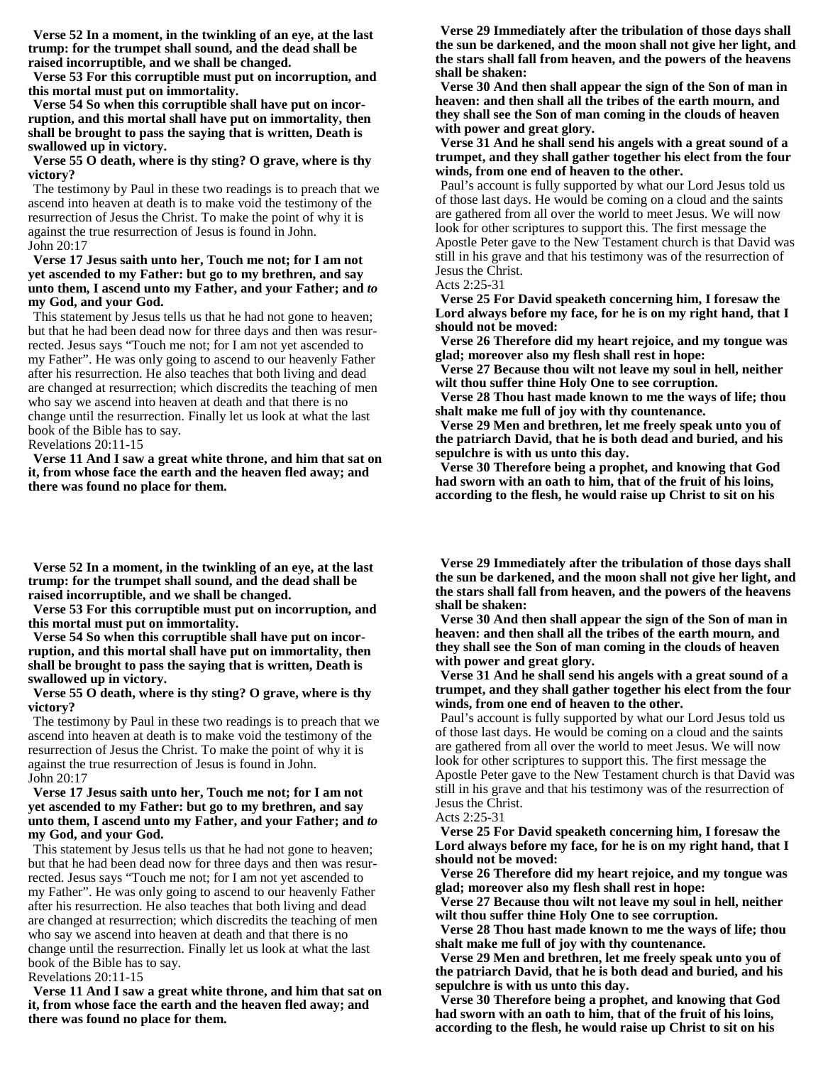**Verse 52 In a moment, in the twinkling of an eye, at the last trump: for the trumpet shall sound, and the dead shall be raised incorruptible, and we shall be changed.**

**Verse 53 For this corruptible must put on incorruption, and this mortal must put on immortality.**

**Verse 54 So when this corruptible shall have put on incorruption, and this mortal shall have put on immortality, then shall be brought to pass the saying that is written, Death is swallowed up in victory.**

**Verse 55 O death, where is thy sting? O grave, where is thy victory?**

The testimony by Paul in these two readings is to preach that we ascend into heaven at death is to make void the testimony of the resurrection of Jesus the Christ. To make the point of why it is against the true resurrection of Jesus is found in John. John 20:17

## **Verse 17 Jesus saith unto her, Touch me not; for I am not yet ascended to my Father: but go to my brethren, and say unto them, I ascend unto my Father, and your Father; and** *to* **my God, and your God.**

This statement by Jesus tells us that he had not gone to heaven; but that he had been dead now for three days and then was resurrected. Jesus says "Touch me not; for I am not yet ascended to my Father". He was only going to ascend to our heavenly Father after his resurrection. He also teaches that both living and dead are changed at resurrection; which discredits the teaching of men who say we ascend into heaven at death and that there is no change until the resurrection. Finally let us look at what the last book of the Bible has to say.

Revelations 20:11-15

**Verse 11 And I saw a great white throne, and him that sat on it, from whose face the earth and the heaven fled away; and there was found no place for them.**

**Verse 52 In a moment, in the twinkling of an eye, at the last trump: for the trumpet shall sound, and the dead shall be raised incorruptible, and we shall be changed.**

**Verse 53 For this corruptible must put on incorruption, and this mortal must put on immortality.**

**Verse 54 So when this corruptible shall have put on incorruption, and this mortal shall have put on immortality, then shall be brought to pass the saying that is written, Death is swallowed up in victory.**

**Verse 55 O death, where is thy sting? O grave, where is thy victory?**

The testimony by Paul in these two readings is to preach that we ascend into heaven at death is to make void the testimony of the resurrection of Jesus the Christ. To make the point of why it is against the true resurrection of Jesus is found in John. John 20:17

## **Verse 17 Jesus saith unto her, Touch me not; for I am not yet ascended to my Father: but go to my brethren, and say unto them, I ascend unto my Father, and your Father; and** *to* **my God, and your God.**

This statement by Jesus tells us that he had not gone to heaven; but that he had been dead now for three days and then was resurrected. Jesus says "Touch me not; for I am not yet ascended to my Father". He was only going to ascend to our heavenly Father after his resurrection. He also teaches that both living and dead are changed at resurrection; which discredits the teaching of men who say we ascend into heaven at death and that there is no change until the resurrection. Finally let us look at what the last book of the Bible has to say.

Revelations 20:11-15

**Verse 11 And I saw a great white throne, and him that sat on it, from whose face the earth and the heaven fled away; and there was found no place for them.**

**Verse 29 Immediately after the tribulation of those days shall the sun be darkened, and the moon shall not give her light, and the stars shall fall from heaven, and the powers of the heavens shall be shaken:**

**Verse 30 And then shall appear the sign of the Son of man in heaven: and then shall all the tribes of the earth mourn, and they shall see the Son of man coming in the clouds of heaven with power and great glory.**

**Verse 31 And he shall send his angels with a great sound of a trumpet, and they shall gather together his elect from the four winds, from one end of heaven to the other.**

Paul's account is fully supported by what our Lord Jesus told us of those last days. He would be coming on a cloud and the saints are gathered from all over the world to meet Jesus. We will now look for other scriptures to support this. The first message the Apostle Peter gave to the New Testament church is that David was still in his grave and that his testimony was of the resurrection of Jesus the Christ.

Acts 2:25-31

**Verse 25 For David speaketh concerning him, I foresaw the Lord always before my face, for he is on my right hand, that I should not be moved:**

**Verse 26 Therefore did my heart rejoice, and my tongue was glad; moreover also my flesh shall rest in hope:**

**Verse 27 Because thou wilt not leave my soul in hell, neither wilt thou suffer thine Holy One to see corruption.**

**Verse 28 Thou hast made known to me the ways of life; thou shalt make me full of joy with thy countenance.**

**Verse 29 Men and brethren, let me freely speak unto you of the patriarch David, that he is both dead and buried, and his sepulchre is with us unto this day.**

**Verse 30 Therefore being a prophet, and knowing that God had sworn with an oath to him, that of the fruit of his loins, according to the flesh, he would raise up Christ to sit on his** 

**Verse 29 Immediately after the tribulation of those days shall the sun be darkened, and the moon shall not give her light, and the stars shall fall from heaven, and the powers of the heavens shall be shaken:**

**Verse 30 And then shall appear the sign of the Son of man in heaven: and then shall all the tribes of the earth mourn, and they shall see the Son of man coming in the clouds of heaven with power and great glory.**

**Verse 31 And he shall send his angels with a great sound of a trumpet, and they shall gather together his elect from the four winds, from one end of heaven to the other.**

Paul's account is fully supported by what our Lord Jesus told us of those last days. He would be coming on a cloud and the saints are gathered from all over the world to meet Jesus. We will now look for other scriptures to support this. The first message the Apostle Peter gave to the New Testament church is that David was still in his grave and that his testimony was of the resurrection of Jesus the Christ.

Acts 2:25-31

**Verse 25 For David speaketh concerning him, I foresaw the Lord always before my face, for he is on my right hand, that I should not be moved:**

**Verse 26 Therefore did my heart rejoice, and my tongue was glad; moreover also my flesh shall rest in hope:**

**Verse 27 Because thou wilt not leave my soul in hell, neither wilt thou suffer thine Holy One to see corruption.**

**Verse 28 Thou hast made known to me the ways of life; thou shalt make me full of joy with thy countenance.**

**Verse 29 Men and brethren, let me freely speak unto you of the patriarch David, that he is both dead and buried, and his sepulchre is with us unto this day.**

**Verse 30 Therefore being a prophet, and knowing that God had sworn with an oath to him, that of the fruit of his loins, according to the flesh, he would raise up Christ to sit on his**